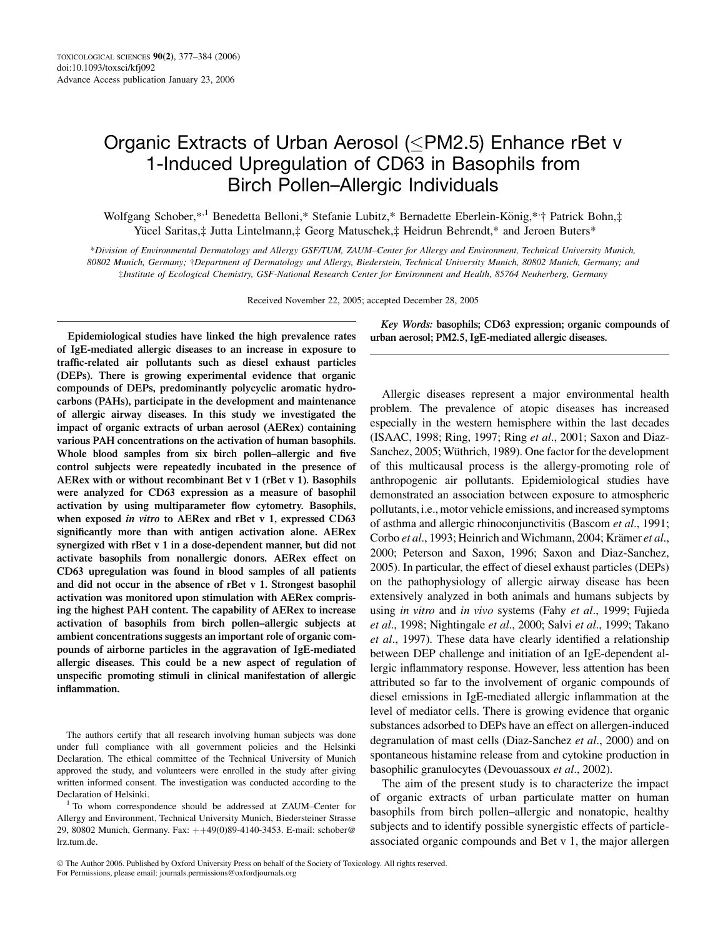# Organic Extracts of Urban Aerosol (<PM2.5) Enhance rBet v 1-Induced Upregulation of CD63 in Basophils from Birch Pollen–Allergic Individuals

Wolfgang Schober,\*<sup>,1</sup> Benedetta Belloni,\* Stefanie Lubitz,\* Bernadette Eberlein-König,\*<sup>,+</sup>† Patrick Bohn,‡ Yücel Saritas,‡ Jutta Lintelmann,‡ Georg Matuschek,‡ Heidrun Behrendt,\* and Jeroen Buters\*

\*Division of Environmental Dermatology and Allergy GSF/TUM, ZAUM–Center for Allergy and Environment, Technical University Munich, 80802 Munich, Germany; †Department of Dermatology and Allergy, Biederstein, Technical University Munich, 80802 Munich, Germany; and ‡Institute of Ecological Chemistry, GSF-National Research Center for Environment and Health, 85764 Neuherberg, Germany

Received November 22, 2005; accepted December 28, 2005

Epidemiological studies have linked the high prevalence rates of IgE-mediated allergic diseases to an increase in exposure to traffic-related air pollutants such as diesel exhaust particles (DEPs). There is growing experimental evidence that organic compounds of DEPs, predominantly polycyclic aromatic hydrocarbons (PAHs), participate in the development and maintenance of allergic airway diseases. In this study we investigated the impact of organic extracts of urban aerosol (AERex) containing various PAH concentrations on the activation of human basophils. Whole blood samples from six birch pollen–allergic and five control subjects were repeatedly incubated in the presence of AERex with or without recombinant Bet v 1 (rBet v 1). Basophils were analyzed for CD63 expression as a measure of basophil activation by using multiparameter flow cytometry. Basophils, when exposed *in vitro* to AERex and rBet v 1, expressed CD63 significantly more than with antigen activation alone. AERex synergized with rBet v 1 in a dose-dependent manner, but did not activate basophils from nonallergic donors. AERex effect on CD63 upregulation was found in blood samples of all patients and did not occur in the absence of rBet v 1. Strongest basophil activation was monitored upon stimulation with AERex comprising the highest PAH content. The capability of AERex to increase activation of basophils from birch pollen–allergic subjects at ambient concentrations suggests an important role of organic compounds of airborne particles in the aggravation of IgE-mediated allergic diseases. This could be a new aspect of regulation of unspecific promoting stimuli in clinical manifestation of allergic inflammation.

The authors certify that all research involving human subjects was done under full compliance with all government policies and the Helsinki Declaration. The ethical committee of the Technical University of Munich approved the study, and volunteers were enrolled in the study after giving written informed consent. The investigation was conducted according to the Declaration of Helsinki.<br><sup>1</sup> To whom correspondence should be addressed at ZAUM–Center for

Allergy and Environment, Technical University Munich, Biedersteiner Strasse 29, 80802 Munich, Germany. Fax: ++49(0)89-4140-3453. E-mail: schober@ lrz.tum.de.

Key Words: basophils; CD63 expression; organic compounds of urban aerosol; PM2.5, IgE-mediated allergic diseases.

Allergic diseases represent a major environmental health problem. The prevalence of atopic diseases has increased especially in the western hemisphere within the last decades (ISAAC, 1998; Ring, 1997; Ring et al., 2001; Saxon and Diaz-Sanchez, 2005; Wüthrich, 1989). One factor for the development of this multicausal process is the allergy-promoting role of anthropogenic air pollutants. Epidemiological studies have demonstrated an association between exposure to atmospheric pollutants, i.e., motor vehicle emissions, and increased symptoms of asthma and allergic rhinoconjunctivitis (Bascom et al., 1991; Corbo et al., 1993; Heinrich and Wichmann, 2004; Krämer et al., 2000; Peterson and Saxon, 1996; Saxon and Diaz-Sanchez, 2005). In particular, the effect of diesel exhaust particles (DEPs) on the pathophysiology of allergic airway disease has been extensively analyzed in both animals and humans subjects by using in vitro and in vivo systems (Fahy et al., 1999; Fujieda et al., 1998; Nightingale et al., 2000; Salvi et al., 1999; Takano et al., 1997). These data have clearly identified a relationship between DEP challenge and initiation of an IgE-dependent allergic inflammatory response. However, less attention has been attributed so far to the involvement of organic compounds of diesel emissions in IgE-mediated allergic inflammation at the level of mediator cells. There is growing evidence that organic substances adsorbed to DEPs have an effect on allergen-induced degranulation of mast cells (Diaz-Sanchez et al., 2000) and on spontaneous histamine release from and cytokine production in basophilic granulocytes (Devouassoux et al., 2002).

The aim of the present study is to characterize the impact of organic extracts of urban particulate matter on human basophils from birch pollen–allergic and nonatopic, healthy subjects and to identify possible synergistic effects of particleassociated organic compounds and Bet v 1, the major allergen

The Author 2006. Published by Oxford University Press on behalf of the Society of Toxicology. All rights reserved. For Permissions, please email: journals.permissions@oxfordjournals.org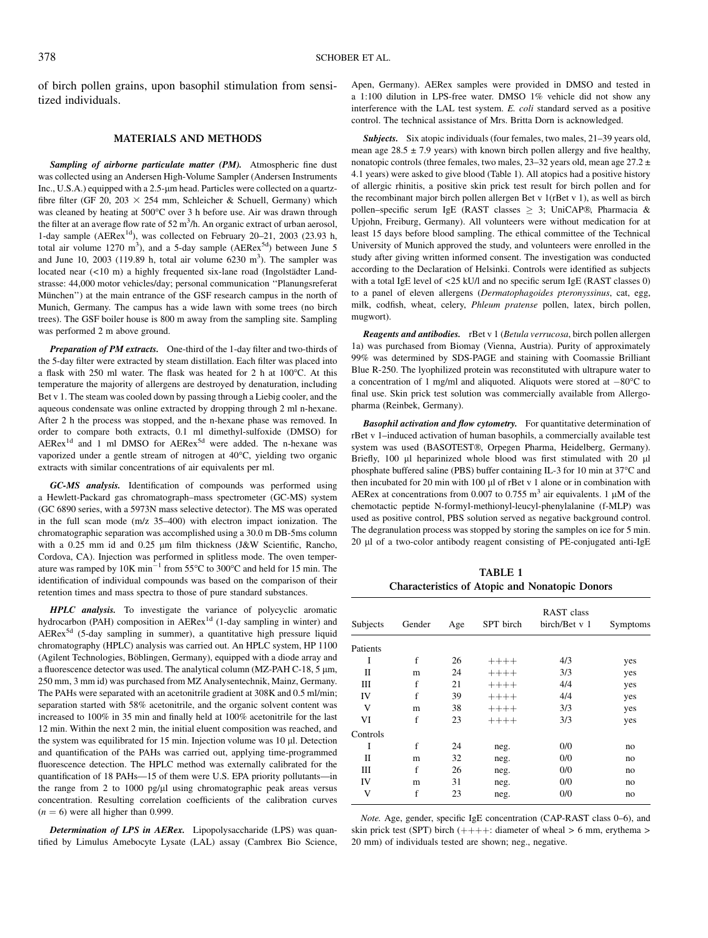of birch pollen grains, upon basophil stimulation from sensitized individuals.

#### MATERIALS AND METHODS

Sampling of airborne particulate matter (PM). Atmospheric fine dust was collected using an Andersen High-Volume Sampler (Andersen Instruments Inc., U.S.A.) equipped with a 2.5-um head. Particles were collected on a quartzfibre filter (GF 20, 203  $\times$  254 mm, Schleicher & Schuell, Germany) which was cleaned by heating at 500°C over 3 h before use. Air was drawn through the filter at an average flow rate of  $52 \text{ m}^3/\text{h}$ . An organic extract of urban aerosol, 1-day sample  $(AERex<sup>1d</sup>)$ , was collected on February 20–21, 2003 (23.93 h, total air volume  $1270 \text{ m}^3$ ), and a 5-day sample (AERex<sup>5d</sup>) between June 5 and June 10, 2003 (119.89 h, total air volume  $6230 \text{ m}^3$ ). The sampler was located near  $(<10 \text{ m})$  a highly frequented six-lane road (Ingolstädter Landstrasse: 44,000 motor vehicles/day; personal communication ''Planungsreferat München") at the main entrance of the GSF research campus in the north of Munich, Germany. The campus has a wide lawn with some trees (no birch trees). The GSF boiler house is 800 m away from the sampling site. Sampling was performed 2 m above ground.

Preparation of PM extracts. One-third of the 1-day filter and two-thirds of the 5-day filter were extracted by steam distillation. Each filter was placed into a flask with 250 ml water. The flask was heated for 2 h at 100°C. At this temperature the majority of allergens are destroyed by denaturation, including Bet v 1. The steam was cooled down by passing through a Liebig cooler, and the aqueous condensate was online extracted by dropping through 2 ml n-hexane. After 2 h the process was stopped, and the n-hexane phase was removed. In order to compare both extracts, 0.1 ml dimethyl-sulfoxide (DMSO) for  $AERex<sup>1d</sup>$  and 1 ml DMSO for  $AERex<sup>5d</sup>$  were added. The n-hexane was vaporized under a gentle stream of nitrogen at 40°C, yielding two organic extracts with similar concentrations of air equivalents per ml.

GC-MS analysis. Identification of compounds was performed using a Hewlett-Packard gas chromatograph–mass spectrometer (GC-MS) system (GC 6890 series, with a 5973N mass selective detector). The MS was operated in the full scan mode (m/z 35–400) with electron impact ionization. The chromatographic separation was accomplished using a 30.0 m DB-5ms column with a 0.25 mm id and 0.25 µm film thickness (J&W Scientific, Rancho, Cordova, CA). Injection was performed in splitless mode. The oven temperature was ramped by  $10K \text{ min}^{-1}$  from 55°C to 300°C and held for 15 min. The identification of individual compounds was based on the comparison of their retention times and mass spectra to those of pure standard substances.

HPLC analysis. To investigate the variance of polycyclic aromatic hydrocarbon (PAH) composition in  $AERex<sup>1d</sup>$  (1-day sampling in winter) and  $AERex<sup>5d</sup>$  (5-day sampling in summer), a quantitative high pressure liquid chromatography (HPLC) analysis was carried out. An HPLC system, HP 1100 (Agilent Technologies, Böblingen, Germany), equipped with a diode array and a fluorescence detector was used. The analytical column (MZ-PAH C-18, 5  $\mu$ m, 250 mm, 3 mm id) was purchased from MZ Analysentechnik, Mainz, Germany. The PAHs were separated with an acetonitrile gradient at 308K and 0.5 ml/min; separation started with 58% acetonitrile, and the organic solvent content was increased to 100% in 35 min and finally held at 100% acetonitrile for the last 12 min. Within the next 2 min, the initial eluent composition was reached, and the system was equilibrated for 15 min. Injection volume was  $10 \mu$ . Detection and quantification of the PAHs was carried out, applying time-programmed fluorescence detection. The HPLC method was externally calibrated for the quantification of 18 PAHs—15 of them were U.S. EPA priority pollutants—in the range from 2 to 1000 pg/ $\mu$ l using chromatographic peak areas versus concentration. Resulting correlation coefficients of the calibration curves  $(n = 6)$  were all higher than 0.999.

Determination of LPS in AERex. Lipopolysaccharide (LPS) was quantified by Limulus Amebocyte Lysate (LAL) assay (Cambrex Bio Science, Apen, Germany). AERex samples were provided in DMSO and tested in a 1:100 dilution in LPS-free water. DMSO 1% vehicle did not show any interference with the LAL test system. E. coli standard served as a positive control. The technical assistance of Mrs. Britta Dorn is acknowledged.

Subjects. Six atopic individuals (four females, two males, 21–39 years old, mean age  $28.5 \pm 7.9$  years) with known birch pollen allergy and five healthy, nonatopic controls (three females, two males,  $23-32$  years old, mean age  $27.2 \pm$ 4.1 years) were asked to give blood (Table 1). All atopics had a positive history of allergic rhinitis, a positive skin prick test result for birch pollen and for the recombinant major birch pollen allergen Bet v 1(rBet v 1), as well as birch pollen–specific serum IgE (RAST classes  $> 3$ ; UniCAP®, Pharmacia & Upjohn, Freiburg, Germany). All volunteers were without medication for at least 15 days before blood sampling. The ethical committee of the Technical University of Munich approved the study, and volunteers were enrolled in the study after giving written informed consent. The investigation was conducted according to the Declaration of Helsinki. Controls were identified as subjects with a total IgE level of <25 kU/l and no specific serum IgE (RAST classes 0) to a panel of eleven allergens (Dermatophagoides pteronyssinus, cat, egg, milk, codfish, wheat, celery, Phleum pratense pollen, latex, birch pollen, mugwort).

**Reagents and antibodies.** rBet v 1 (Betula verrucosa, birch pollen allergen 1a) was purchased from Biomay (Vienna, Austria). Purity of approximately 99% was determined by SDS-PAGE and staining with Coomassie Brilliant Blue R-250. The lyophilized protein was reconstituted with ultrapure water to a concentration of 1 mg/ml and aliquoted. Aliquots were stored at  $-80^{\circ}$ C to final use. Skin prick test solution was commercially available from Allergopharma (Reinbek, Germany).

Basophil activation and flow cytometry. For quantitative determination of rBet v 1–induced activation of human basophils, a commercially available test system was used (BASOTEST®, Orpegen Pharma, Heidelberg, Germany). Briefly, 100 µl heparinized whole blood was first stimulated with 20 µl phosphate buffered saline (PBS) buffer containing IL-3 for 10 min at 37°C and then incubated for 20 min with 100  $\mu$ l of rBet v 1 alone or in combination with AERex at concentrations from 0.007 to 0.755  $\text{m}^3$  air equivalents. 1 µM of the chemotactic peptide N-formyl-methionyl-leucyl-phenylalanine (f-MLP) was used as positive control, PBS solution served as negative background control. The degranulation process was stopped by storing the samples on ice for 5 min. 20 ll of a two-color antibody reagent consisting of PE-conjugated anti-IgE

TABLE 1 Characteristics of Atopic and Nonatopic Donors

| Subjects | Gender | Age | SPT birch | RAST class<br>birch/Bet v 1 | Symptoms |
|----------|--------|-----|-----------|-----------------------------|----------|
| Patients |        |     |           |                             |          |
| I        | f      | 26  | $+++++$   | 4/3                         | yes      |
| П        | m      | 24  | $+++++$   | 3/3                         | yes      |
| Ш        | f      | 21  | $+++++$   | 4/4                         | yes      |
| IV       | f      | 39  | $+++++$   | 4/4                         | yes      |
| V        | m      | 38  | $+++++$   | 3/3                         | yes      |
| VI       | f      | 23  | $+++++$   | 3/3                         | yes      |
| Controls |        |     |           |                             |          |
| I        | f      | 24  | neg.      | 0/0                         | no       |
| П        | m      | 32  | neg.      | 0/0                         | no       |
| Ш        | f      | 26  | neg.      | 0/0                         | no       |
| IV       | m      | 31  | neg.      | 0/0                         | no       |
| V        | f      | 23  | neg.      | 0/0                         | no       |
|          |        |     |           |                             |          |

Note. Age, gender, specific IgE concentration (CAP-RAST class 0–6), and skin prick test (SPT) birch  $(++)++$ : diameter of wheal > 6 mm, erythema > 20 mm) of individuals tested are shown; neg., negative.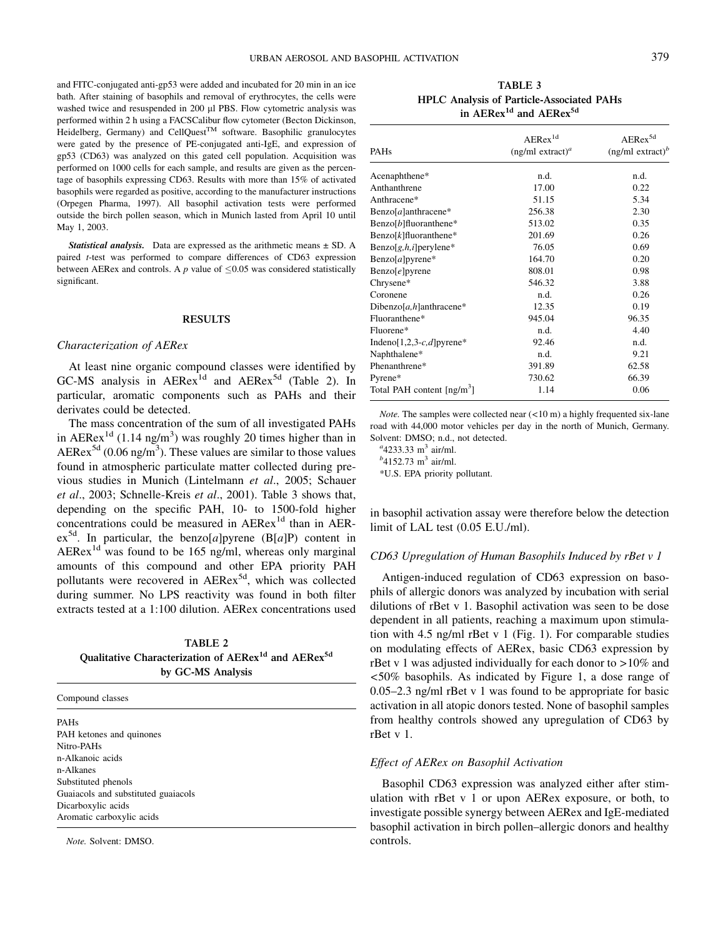and FITC-conjugated anti-gp53 were added and incubated for 20 min in an ice bath. After staining of basophils and removal of erythrocytes, the cells were washed twice and resuspended in 200 µl PBS. Flow cytometric analysis was performed within 2 h using a FACSCalibur flow cytometer (Becton Dickinson, Heidelberg, Germany) and CellQuest<sup>TM</sup> software. Basophilic granulocytes were gated by the presence of PE-conjugated anti-IgE, and expression of gp53 (CD63) was analyzed on this gated cell population. Acquisition was performed on 1000 cells for each sample, and results are given as the percentage of basophils expressing CD63. Results with more than 15% of activated basophils were regarded as positive, according to the manufacturer instructions (Orpegen Pharma, 1997). All basophil activation tests were performed outside the birch pollen season, which in Munich lasted from April 10 until May 1, 2003.

**Statistical analysis.** Data are expressed as the arithmetic means  $\pm$  SD. A paired t-test was performed to compare differences of CD63 expression between AERex and controls. A  $p$  value of  $\leq 0.05$  was considered statistically significant.

# RESULTS

#### Characterization of AERex

At least nine organic compound classes were identified by GC-MS analysis in  $AERex^{1d}$  and  $AERex^{5d}$  (Table 2). In particular, aromatic components such as PAHs and their derivates could be detected.

The mass concentration of the sum of all investigated PAHs in AERex<sup>1d</sup> (1.14 ng/m<sup>3</sup>) was roughly 20 times higher than in  $AERex^{5d}$  (0.06 ng/m<sup>3</sup>). These values are similar to those values found in atmospheric particulate matter collected during previous studies in Munich (Lintelmann et al., 2005; Schauer et al., 2003; Schnelle-Kreis et al., 2001). Table 3 shows that, depending on the specific PAH, 10- to 1500-fold higher concentrations could be measured in AERex<sup>1d</sup> than in AER $ex^{5d}$ . In particular, the benzo[a]pyrene (B[a]P) content in AERex<sup>1d</sup> was found to be 165 ng/ml, whereas only marginal amounts of this compound and other EPA priority PAH pollutants were recovered in AERex<sup>5d</sup>, which was collected during summer. No LPS reactivity was found in both filter extracts tested at a 1:100 dilution. AERex concentrations used

TABLE 2 Qualitative Characterization of AERex<sup>1d</sup> and AERex<sup>5d</sup> by GC-MS Analysis

Compound classes

PAHs PAH ketones and quinones Nitro-PAHs n-Alkanoic acids n-Alkanes Substituted phenols Guaiacols and substituted guaiacols Dicarboxylic acids Aromatic carboxylic acids

Note. Solvent: DMSO.

TABLE 3 HPLC Analysis of Particle-Associated PAHs in AERex<sup>1d</sup> and AERex<sup>5d</sup>

| <b>PAHs</b>                     | $AERex$ <sup>1d</sup><br>$(ng/ml \, extract)^a$ | AERex <sup>5d</sup><br>$(ng/ml \, extract)^b$ |
|---------------------------------|-------------------------------------------------|-----------------------------------------------|
| Acenaphthene*                   | n.d.                                            | n.d.                                          |
| Anthanthrene                    | 17.00                                           | 0.22                                          |
| Anthracene*                     | 51.15                                           | 5.34                                          |
| Benzo[a]anthracene*             | 256.38                                          | 2.30                                          |
| Benzo[ $b$ ]fluoranthene*       | 513.02                                          | 0.35                                          |
| Benzo[ $k$ ]fluoranthene*       | 201.69                                          | 0.26                                          |
| $\text{Benzo}[g,h,i]$ perylene* | 76.05                                           | 0.69                                          |
| $Benzo[a]pyrene*$               | 164.70                                          | 0.20                                          |
| $\text{Benzo}[e]$ pyrene        | 808.01                                          | 0.98                                          |
| Chrysene*                       | 546.32                                          | 3.88                                          |
| Coronene                        | n.d.                                            | 0.26                                          |
| Dibenzo[a,h]anthracene*         | 12.35                                           | 0.19                                          |
| Fluoranthene*                   | 945.04                                          | 96.35                                         |
| Fluorene*                       | n.d.                                            | 4.40                                          |
| Indeno[1,2,3-c,d]pyrene*        | 92.46                                           | n.d.                                          |
| Naphthalene*                    | n.d.                                            | 9.21                                          |
| Phenanthrene*                   | 391.89                                          | 62.58                                         |
| Pyrene*                         | 730.62                                          | 66.39                                         |
| Total PAH content $[ng/m^3]$    | 1.14                                            | 0.06                                          |

Note. The samples were collected near (<10 m) a highly frequented six-lane road with 44,000 motor vehicles per day in the north of Munich, Germany. Solvent: DMSO; n.d., not detected.

 $^{a}$ 4233.33 m<sup>3</sup> air/ml.

 $^{b}$ 4152.73 m<sup>3</sup> air/ml.

\*U.S. EPA priority pollutant.

in basophil activation assay were therefore below the detection limit of LAL test (0.05 E.U./ml).

### CD63 Upregulation of Human Basophils Induced by rBet v 1

Antigen-induced regulation of CD63 expression on basophils of allergic donors was analyzed by incubation with serial dilutions of rBet v 1. Basophil activation was seen to be dose dependent in all patients, reaching a maximum upon stimulation with 4.5 ng/ml rBet v 1 (Fig. 1). For comparable studies on modulating effects of AERex, basic CD63 expression by rBet v 1 was adjusted individually for each donor to  $>10\%$  and <50% basophils. As indicated by Figure 1, a dose range of 0.05–2.3 ng/ml rBet v 1 was found to be appropriate for basic activation in all atopic donors tested. None of basophil samples from healthy controls showed any upregulation of CD63 by rBet v 1.

## Effect of AERex on Basophil Activation

Basophil CD63 expression was analyzed either after stimulation with rBet v 1 or upon AERex exposure, or both, to investigate possible synergy between AERex and IgE-mediated basophil activation in birch pollen–allergic donors and healthy controls.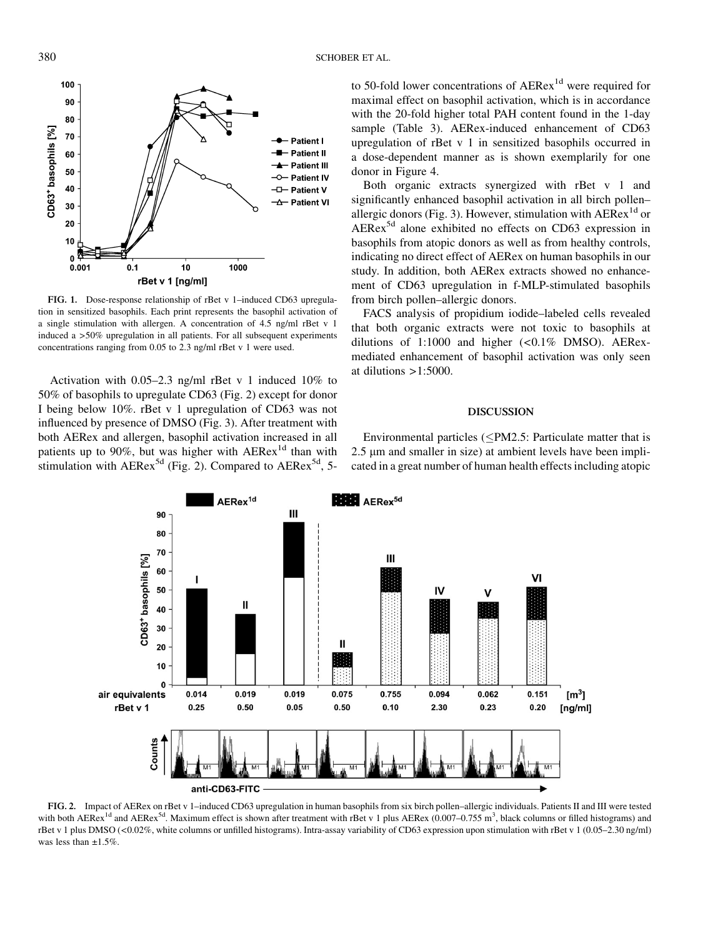

FIG. 1. Dose-response relationship of rBet v 1–induced CD63 upregulation in sensitized basophils. Each print represents the basophil activation of a single stimulation with allergen. A concentration of 4.5 ng/ml rBet v 1 induced a >50% upregulation in all patients. For all subsequent experiments concentrations ranging from 0.05 to 2.3 ng/ml rBet v 1 were used.

Activation with 0.05–2.3 ng/ml rBet v 1 induced 10% to 50% of basophils to upregulate CD63 (Fig. 2) except for donor I being below 10%. rBet v 1 upregulation of CD63 was not influenced by presence of DMSO (Fig. 3). After treatment with both AERex and allergen, basophil activation increased in all patients up to 90%, but was higher with  $AERex<sup>1d</sup>$  than with stimulation with  $AERex^{5d}$  (Fig. 2). Compared to  $AERex^{5d}$ , 5to 50-fold lower concentrations of AERex<sup>1d</sup> were required for maximal effect on basophil activation, which is in accordance with the 20-fold higher total PAH content found in the 1-day sample (Table 3). AERex-induced enhancement of CD63 upregulation of rBet v 1 in sensitized basophils occurred in a dose-dependent manner as is shown exemplarily for one donor in Figure 4.

Both organic extracts synergized with rBet v 1 and significantly enhanced basophil activation in all birch pollen– allergic donors (Fig. 3). However, stimulation with  $AERex^{1d}$  or AERex5d alone exhibited no effects on CD63 expression in basophils from atopic donors as well as from healthy controls, indicating no direct effect of AERex on human basophils in our study. In addition, both AERex extracts showed no enhancement of CD63 upregulation in f-MLP-stimulated basophils from birch pollen–allergic donors.

FACS analysis of propidium iodide–labeled cells revealed that both organic extracts were not toxic to basophils at dilutions of  $1:1000$  and higher  $( $0.1\%$  DMSO)$ . AERexmediated enhancement of basophil activation was only seen at dilutions  $>1:5000$ .

#### DISCUSSION

Environmental particles ( $\leq$ PM2.5: Particulate matter that is 2.5 µm and smaller in size) at ambient levels have been implicated in a great number of human health effects including atopic



FIG. 2. Impact of AERex on rBet v 1–induced CD63 upregulation in human basophils from six birch pollen–allergic individuals. Patients II and III were tested with both AERex<sup>1d</sup> and AERex<sup>5d</sup>. Maximum effect is shown after treatment with rBet v 1 plus AERex (0.007–0.755 m<sup>3</sup>, black columns or filled histograms) and rBet v 1 plus DMSO (<0.02%, white columns or unfilled histograms). Intra-assay variability of CD63 expression upon stimulation with rBet v 1 (0.05–2.30 ng/ml) was less than  $+1.5%$ .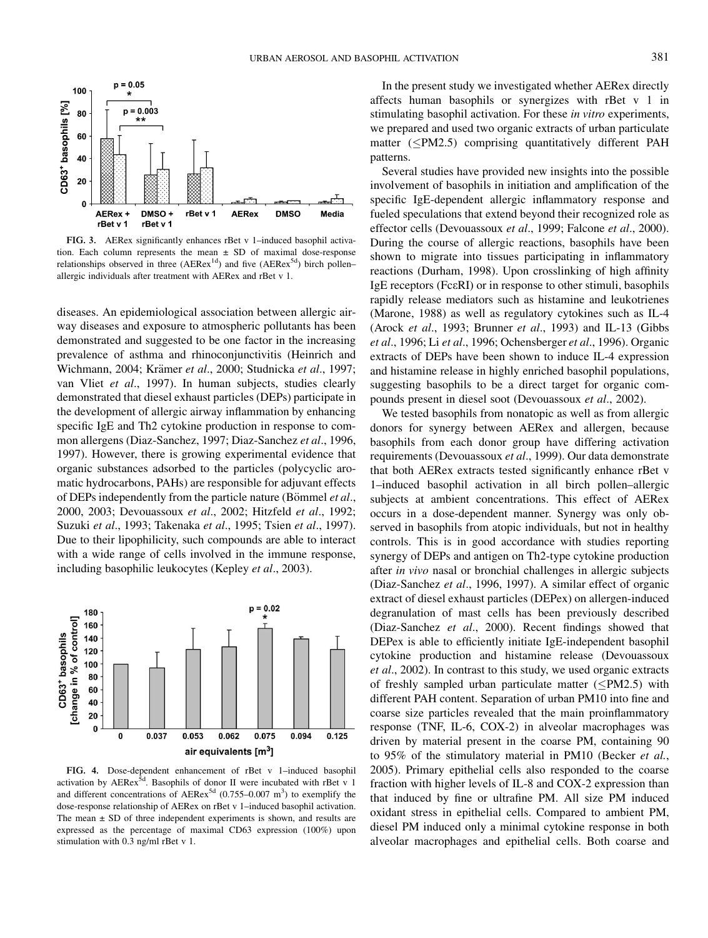

FIG. 3. AERex significantly enhances rBet v 1–induced basophil activation. Each column represents the mean  $\pm$  SD of maximal dose-response relationships observed in three ( $AERex^{1d}$ ) and five ( $AERex^{5d}$ ) birch pollen– allergic individuals after treatment with AERex and rBet v 1.

diseases. An epidemiological association between allergic airway diseases and exposure to atmospheric pollutants has been demonstrated and suggested to be one factor in the increasing prevalence of asthma and rhinoconjunctivitis (Heinrich and Wichmann, 2004; Krämer et al., 2000; Studnicka et al., 1997; van Vliet et al., 1997). In human subjects, studies clearly demonstrated that diesel exhaust particles (DEPs) participate in the development of allergic airway inflammation by enhancing specific IgE and Th2 cytokine production in response to common allergens (Diaz-Sanchez, 1997; Diaz-Sanchez et al., 1996, 1997). However, there is growing experimental evidence that organic substances adsorbed to the particles (polycyclic aromatic hydrocarbons, PAHs) are responsible for adjuvant effects of DEPs independently from the particle nature (Bömmel et al., 2000, 2003; Devouassoux et al., 2002; Hitzfeld et al., 1992; Suzuki et al., 1993; Takenaka et al., 1995; Tsien et al., 1997). Due to their lipophilicity, such compounds are able to interact with a wide range of cells involved in the immune response, including basophilic leukocytes (Kepley et al., 2003).



FIG. 4. Dose-dependent enhancement of rBet v 1–induced basophil activation by AERex $^{5d}$ . Basophils of donor II were incubated with rBet v 1 and different concentrations of AERex<sup>5d</sup> (0.755–0.007 m<sup>3</sup>) to exemplify the dose-response relationship of AERex on rBet v 1–induced basophil activation. The mean  $\pm$  SD of three independent experiments is shown, and results are expressed as the percentage of maximal CD63 expression (100%) upon stimulation with 0.3 ng/ml rBet v 1.

In the present study we investigated whether AERex directly affects human basophils or synergizes with rBet v 1 in stimulating basophil activation. For these *in vitro* experiments, we prepared and used two organic extracts of urban particulate matter  $(\leq PM2.5)$  comprising quantitatively different PAH patterns.

Several studies have provided new insights into the possible involvement of basophils in initiation and amplification of the specific IgE-dependent allergic inflammatory response and fueled speculations that extend beyond their recognized role as effector cells (Devouassoux et al., 1999; Falcone et al., 2000). During the course of allergic reactions, basophils have been shown to migrate into tissues participating in inflammatory reactions (Durham, 1998). Upon crosslinking of high affinity IgE receptors (FceRI) or in response to other stimuli, basophils rapidly release mediators such as histamine and leukotrienes (Marone, 1988) as well as regulatory cytokines such as IL-4 (Arock et al., 1993; Brunner et al., 1993) and IL-13 (Gibbs et al., 1996; Li et al., 1996; Ochensberger et al., 1996). Organic extracts of DEPs have been shown to induce IL-4 expression and histamine release in highly enriched basophil populations, suggesting basophils to be a direct target for organic compounds present in diesel soot (Devouassoux et al., 2002).

We tested basophils from nonatopic as well as from allergic donors for synergy between AERex and allergen, because basophils from each donor group have differing activation requirements (Devouassoux et al., 1999). Our data demonstrate that both AERex extracts tested significantly enhance rBet v 1–induced basophil activation in all birch pollen–allergic subjects at ambient concentrations. This effect of AERex occurs in a dose-dependent manner. Synergy was only observed in basophils from atopic individuals, but not in healthy controls. This is in good accordance with studies reporting synergy of DEPs and antigen on Th2-type cytokine production after in vivo nasal or bronchial challenges in allergic subjects (Diaz-Sanchez et al., 1996, 1997). A similar effect of organic extract of diesel exhaust particles (DEPex) on allergen-induced degranulation of mast cells has been previously described (Diaz-Sanchez et al., 2000). Recent findings showed that DEPex is able to efficiently initiate IgE-independent basophil cytokine production and histamine release (Devouassoux et al., 2002). In contrast to this study, we used organic extracts of freshly sampled urban particulate matter  $(*PM2.5*)$  with different PAH content. Separation of urban PM10 into fine and coarse size particles revealed that the main proinflammatory response (TNF, IL-6, COX-2) in alveolar macrophages was driven by material present in the coarse PM, containing 90 to 95% of the stimulatory material in PM10 (Becker et al., 2005). Primary epithelial cells also responded to the coarse fraction with higher levels of IL-8 and COX-2 expression than that induced by fine or ultrafine PM. All size PM induced oxidant stress in epithelial cells. Compared to ambient PM, diesel PM induced only a minimal cytokine response in both alveolar macrophages and epithelial cells. Both coarse and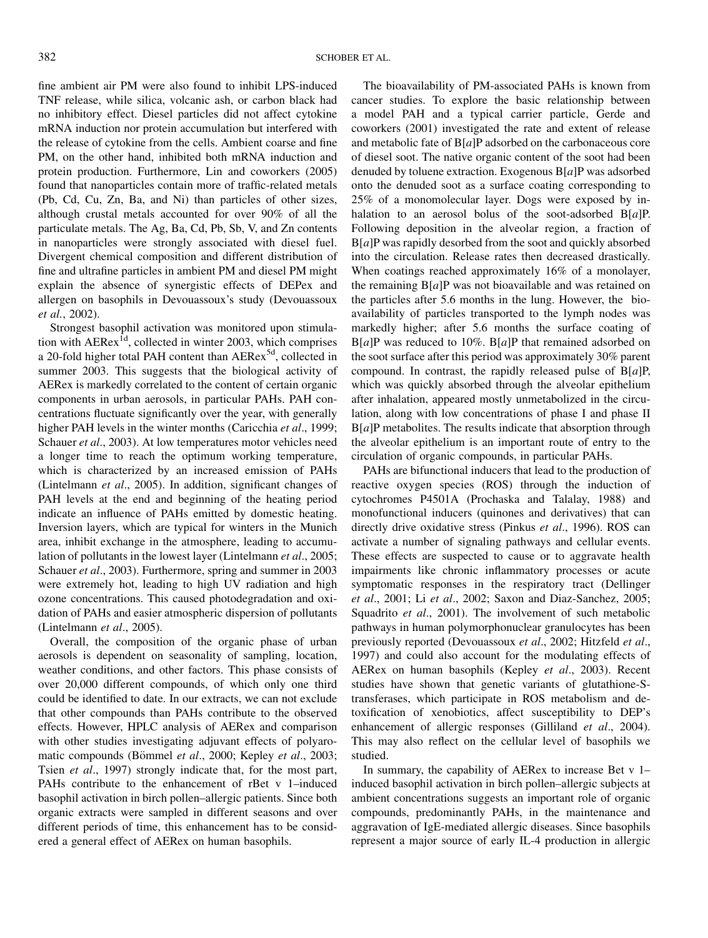fine ambient air PM were also found to inhibit LPS-induced TNF release, while silica, volcanic ash, or carbon black had no inhibitory effect. Diesel particles did not affect cytokine mRNA induction nor protein accumulation but interfered with the release of cytokine from the cells. Ambient coarse and fine PM, on the other hand, inhibited both mRNA induction and protein production. Furthermore, Lin and coworkers (2005) found that nanoparticles contain more of traffic-related metals (Pb, Cd, Cu, Zn, Ba, and Ni) than particles of other sizes, although crustal metals accounted for over 90% of all the particulate metals. The Ag, Ba, Cd, Pb, Sb, V, and Zn contents in nanoparticles were strongly associated with diesel fuel. Divergent chemical composition and different distribution of fine and ultrafine particles in ambient PM and diesel PM might explain the absence of synergistic effects of DEPex and allergen on basophils in Devouassoux's study (Devouassoux et al., 2002).

Strongest basophil activation was monitored upon stimulation with  $AERex^{1d}$ , collected in winter 2003, which comprises a 20-fold higher total PAH content than AERex<sup>5d</sup>, collected in summer 2003. This suggests that the biological activity of AERex is markedly correlated to the content of certain organic components in urban aerosols, in particular PAHs. PAH concentrations fluctuate significantly over the year, with generally higher PAH levels in the winter months (Caricchia *et al.*, 1999; Schauer et al., 2003). At low temperatures motor vehicles need a longer time to reach the optimum working temperature, which is characterized by an increased emission of PAHs (Lintelmann et al., 2005). In addition, significant changes of PAH levels at the end and beginning of the heating period indicate an influence of PAHs emitted by domestic heating. Inversion layers, which are typical for winters in the Munich area, inhibit exchange in the atmosphere, leading to accumulation of pollutants in the lowest layer (Lintelmann et al., 2005; Schauer *et al.*, 2003). Furthermore, spring and summer in 2003 were extremely hot, leading to high UV radiation and high ozone concentrations. This caused photodegradation and oxidation of PAHs and easier atmospheric dispersion of pollutants (Lintelmann et al., 2005).

Overall, the composition of the organic phase of urban aerosols is dependent on seasonality of sampling, location, weather conditions, and other factors. This phase consists of over 20,000 different compounds, of which only one third could be identified to date. In our extracts, we can not exclude that other compounds than PAHs contribute to the observed effects. However, HPLC analysis of AERex and comparison with other studies investigating adjuvant effects of polyaromatic compounds (Bömmel et al., 2000; Kepley et al., 2003; Tsien et al., 1997) strongly indicate that, for the most part, PAHs contribute to the enhancement of rBet v 1–induced basophil activation in birch pollen–allergic patients. Since both organic extracts were sampled in different seasons and over different periods of time, this enhancement has to be considered a general effect of AERex on human basophils.

The bioavailability of PM-associated PAHs is known from cancer studies. To explore the basic relationship between a model PAH and a typical carrier particle, Gerde and coworkers (2001) investigated the rate and extent of release and metabolic fate of  $B[a]P$  adsorbed on the carbonaceous core of diesel soot. The native organic content of the soot had been denuded by toluene extraction. Exogenous B[a]P was adsorbed onto the denuded soot as a surface coating corresponding to 25% of a monomolecular layer. Dogs were exposed by inhalation to an aerosol bolus of the soot-adsorbed  $B[a]P$ . Following deposition in the alveolar region, a fraction of  $B[a]P$  was rapidly desorbed from the soot and quickly absorbed into the circulation. Release rates then decreased drastically. When coatings reached approximately 16% of a monolayer, the remaining  $B[a]P$  was not bioavailable and was retained on the particles after 5.6 months in the lung. However, the bioavailability of particles transported to the lymph nodes was markedly higher; after 5.6 months the surface coating of  $B[a]P$  was reduced to 10%.  $B[a]P$  that remained adsorbed on the soot surface after this period was approximately 30% parent compound. In contrast, the rapidly released pulse of  $B[a]P$ , which was quickly absorbed through the alveolar epithelium after inhalation, appeared mostly unmetabolized in the circulation, along with low concentrations of phase I and phase II B[a]P metabolites. The results indicate that absorption through the alveolar epithelium is an important route of entry to the circulation of organic compounds, in particular PAHs.

PAHs are bifunctional inducers that lead to the production of reactive oxygen species (ROS) through the induction of cytochromes P4501A (Prochaska and Talalay, 1988) and monofunctional inducers (quinones and derivatives) that can directly drive oxidative stress (Pinkus et al., 1996). ROS can activate a number of signaling pathways and cellular events. These effects are suspected to cause or to aggravate health impairments like chronic inflammatory processes or acute symptomatic responses in the respiratory tract (Dellinger et al., 2001; Li et al., 2002; Saxon and Diaz-Sanchez, 2005; Squadrito et al., 2001). The involvement of such metabolic pathways in human polymorphonuclear granulocytes has been previously reported (Devouassoux et al., 2002; Hitzfeld et al., 1997) and could also account for the modulating effects of AERex on human basophils (Kepley et al., 2003). Recent studies have shown that genetic variants of glutathione-Stransferases, which participate in ROS metabolism and detoxification of xenobiotics, affect susceptibility to DEP's enhancement of allergic responses (Gilliland *et al.*, 2004). This may also reflect on the cellular level of basophils we studied.

In summary, the capability of AERex to increase Bet v 1– induced basophil activation in birch pollen–allergic subjects at ambient concentrations suggests an important role of organic compounds, predominantly PAHs, in the maintenance and aggravation of IgE-mediated allergic diseases. Since basophils represent a major source of early IL-4 production in allergic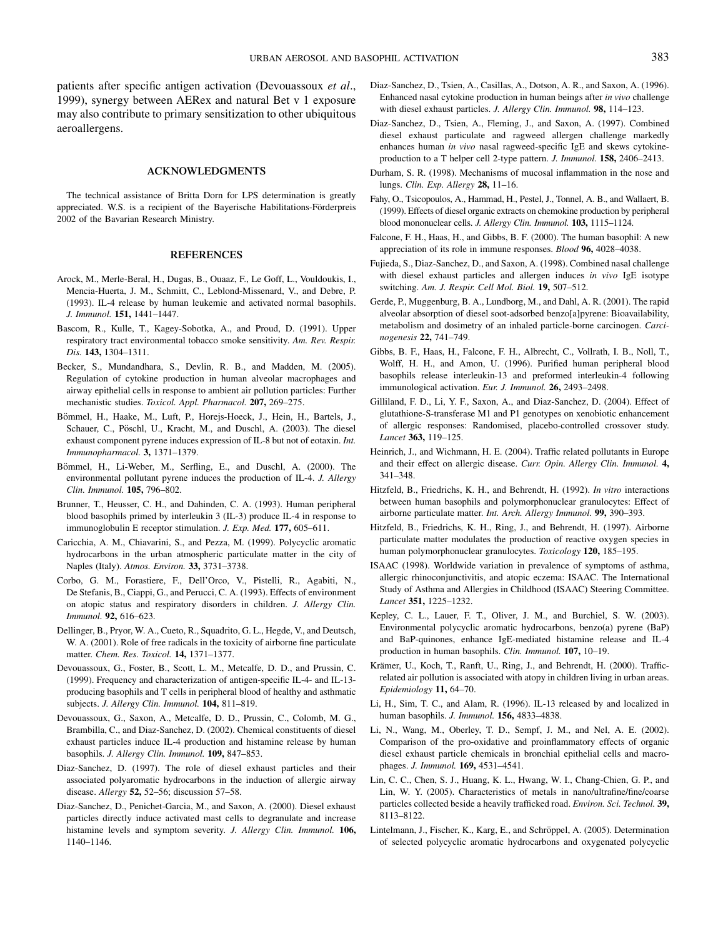patients after specific antigen activation (Devouassoux et al., 1999), synergy between AERex and natural Bet v 1 exposure may also contribute to primary sensitization to other ubiquitous aeroallergens.

#### ACKNOWLEDGMENTS

The technical assistance of Britta Dorn for LPS determination is greatly appreciated. W.S. is a recipient of the Bayerische Habilitations-Förderpreis 2002 of the Bavarian Research Ministry.

#### **REFERENCES**

- Arock, M., Merle-Beral, H., Dugas, B., Ouaaz, F., Le Goff, L., Vouldoukis, I., Mencia-Huerta, J. M., Schmitt, C., Leblond-Missenard, V., and Debre, P. (1993). IL-4 release by human leukemic and activated normal basophils. J. Immunol. 151, 1441–1447.
- Bascom, R., Kulle, T., Kagey-Sobotka, A., and Proud, D. (1991). Upper respiratory tract environmental tobacco smoke sensitivity. Am. Rev. Respir. Dis. 143, 1304–1311.
- Becker, S., Mundandhara, S., Devlin, R. B., and Madden, M. (2005). Regulation of cytokine production in human alveolar macrophages and airway epithelial cells in response to ambient air pollution particles: Further mechanistic studies. Toxicol. Appl. Pharmacol. 207, 269–275.
- Bömmel, H., Haake, M., Luft, P., Horejs-Hoeck, J., Hein, H., Bartels, J., Schauer, C., Pöschl, U., Kracht, M., and Duschl, A. (2003). The diesel exhaust component pyrene induces expression of IL-8 but not of eotaxin. Int. Immunopharmacol. 3, 1371–1379.
- Bömmel, H., Li-Weber, M., Serfling, E., and Duschl, A. (2000). The environmental pollutant pyrene induces the production of IL-4. J. Allergy Clin. Immunol. 105, 796–802.
- Brunner, T., Heusser, C. H., and Dahinden, C. A. (1993). Human peripheral blood basophils primed by interleukin 3 (IL-3) produce IL-4 in response to immunoglobulin E receptor stimulation. J. Exp. Med. 177, 605–611.
- Caricchia, A. M., Chiavarini, S., and Pezza, M. (1999). Polycyclic aromatic hydrocarbons in the urban atmospheric particulate matter in the city of Naples (Italy). Atmos. Environ. 33, 3731–3738.
- Corbo, G. M., Forastiere, F., Dell'Orco, V., Pistelli, R., Agabiti, N., De Stefanis, B., Ciappi, G., and Perucci, C. A. (1993). Effects of environment on atopic status and respiratory disorders in children. J. Allergy Clin. Immunol. 92, 616–623.
- Dellinger, B., Pryor, W. A., Cueto, R., Squadrito, G. L., Hegde, V., and Deutsch, W. A. (2001). Role of free radicals in the toxicity of airborne fine particulate matter. Chem. Res. Toxicol. 14, 1371–1377.
- Devouassoux, G., Foster, B., Scott, L. M., Metcalfe, D. D., and Prussin, C. (1999). Frequency and characterization of antigen-specific IL-4- and IL-13 producing basophils and T cells in peripheral blood of healthy and asthmatic subjects. J. Allergy Clin. Immunol. 104, 811-819.
- Devouassoux, G., Saxon, A., Metcalfe, D. D., Prussin, C., Colomb, M. G., Brambilla, C., and Diaz-Sanchez, D. (2002). Chemical constituents of diesel exhaust particles induce IL-4 production and histamine release by human basophils. J. Allergy Clin. Immunol. 109, 847–853.
- Diaz-Sanchez, D. (1997). The role of diesel exhaust particles and their associated polyaromatic hydrocarbons in the induction of allergic airway disease. Allergy 52, 52–56; discussion 57–58.
- Diaz-Sanchez, D., Penichet-Garcia, M., and Saxon, A. (2000). Diesel exhaust particles directly induce activated mast cells to degranulate and increase histamine levels and symptom severity. J. Allergy Clin. Immunol. 106, 1140–1146.
- Diaz-Sanchez, D., Tsien, A., Casillas, A., Dotson, A. R., and Saxon, A. (1996). Enhanced nasal cytokine production in human beings after in vivo challenge with diesel exhaust particles. J. Allergy Clin. Immunol. 98, 114–123.
- Diaz-Sanchez, D., Tsien, A., Fleming, J., and Saxon, A. (1997). Combined diesel exhaust particulate and ragweed allergen challenge markedly enhances human in vivo nasal ragweed-specific IgE and skews cytokineproduction to a T helper cell 2-type pattern. J. Immunol. 158, 2406–2413.
- Durham, S. R. (1998). Mechanisms of mucosal inflammation in the nose and lungs. Clin. Exp. Allergy 28, 11–16.
- Fahy, O., Tsicopoulos, A., Hammad, H., Pestel, J., Tonnel, A. B., and Wallaert, B. (1999). Effects of diesel organic extracts on chemokine production by peripheral blood mononuclear cells. J. Allergy Clin. Immunol. 103, 1115–1124.
- Falcone, F. H., Haas, H., and Gibbs, B. F. (2000). The human basophil: A new appreciation of its role in immune responses. Blood 96, 4028–4038.
- Fujieda, S., Diaz-Sanchez, D., and Saxon, A. (1998). Combined nasal challenge with diesel exhaust particles and allergen induces in vivo IgE isotype switching. Am. J. Respir. Cell Mol. Biol. 19, 507-512.
- Gerde, P., Muggenburg, B. A., Lundborg, M., and Dahl, A. R. (2001). The rapid alveolar absorption of diesel soot-adsorbed benzo[a]pyrene: Bioavailability, metabolism and dosimetry of an inhaled particle-borne carcinogen. Carcinogenesis 22, 741–749.
- Gibbs, B. F., Haas, H., Falcone, F. H., Albrecht, C., Vollrath, I. B., Noll, T., Wolff, H. H., and Amon, U. (1996). Purified human peripheral blood basophils release interleukin-13 and preformed interleukin-4 following immunological activation. Eur. J. Immunol. 26, 2493-2498.
- Gilliland, F. D., Li, Y. F., Saxon, A., and Diaz-Sanchez, D. (2004). Effect of glutathione-S-transferase M1 and P1 genotypes on xenobiotic enhancement of allergic responses: Randomised, placebo-controlled crossover study. Lancet 363, 119–125.
- Heinrich, J., and Wichmann, H. E. (2004). Traffic related pollutants in Europe and their effect on allergic disease. Curr. Opin. Allergy Clin. Immunol. 4, 341–348.
- Hitzfeld, B., Friedrichs, K. H., and Behrendt, H. (1992). In vitro interactions between human basophils and polymorphonuclear granulocytes: Effect of airborne particulate matter. Int. Arch. Allergy Immunol. 99, 390–393.
- Hitzfeld, B., Friedrichs, K. H., Ring, J., and Behrendt, H. (1997). Airborne particulate matter modulates the production of reactive oxygen species in human polymorphonuclear granulocytes. Toxicology 120, 185-195.
- ISAAC (1998). Worldwide variation in prevalence of symptoms of asthma, allergic rhinoconjunctivitis, and atopic eczema: ISAAC. The International Study of Asthma and Allergies in Childhood (ISAAC) Steering Committee. Lancet 351, 1225–1232.
- Kepley, C. L., Lauer, F. T., Oliver, J. M., and Burchiel, S. W. (2003). Environmental polycyclic aromatic hydrocarbons, benzo(a) pyrene (BaP) and BaP-quinones, enhance IgE-mediated histamine release and IL-4 production in human basophils. Clin. Immunol. 107, 10-19.
- Krämer, U., Koch, T., Ranft, U., Ring, J., and Behrendt, H. (2000). Trafficrelated air pollution is associated with atopy in children living in urban areas. Epidemiology 11, 64–70.
- Li, H., Sim, T. C., and Alam, R. (1996). IL-13 released by and localized in human basophils. J. Immunol. 156, 4833–4838.
- Li, N., Wang, M., Oberley, T. D., Sempf, J. M., and Nel, A. E. (2002). Comparison of the pro-oxidative and proinflammatory effects of organic diesel exhaust particle chemicals in bronchial epithelial cells and macrophages. J. Immunol. 169, 4531–4541.
- Lin, C. C., Chen, S. J., Huang, K. L., Hwang, W. I., Chang-Chien, G. P., and Lin, W. Y. (2005). Characteristics of metals in nano/ultrafine/fine/coarse particles collected beside a heavily trafficked road. Environ. Sci. Technol. 39, 8113–8122.
- Lintelmann, J., Fischer, K., Karg, E., and Schröppel, A. (2005). Determination of selected polycyclic aromatic hydrocarbons and oxygenated polycyclic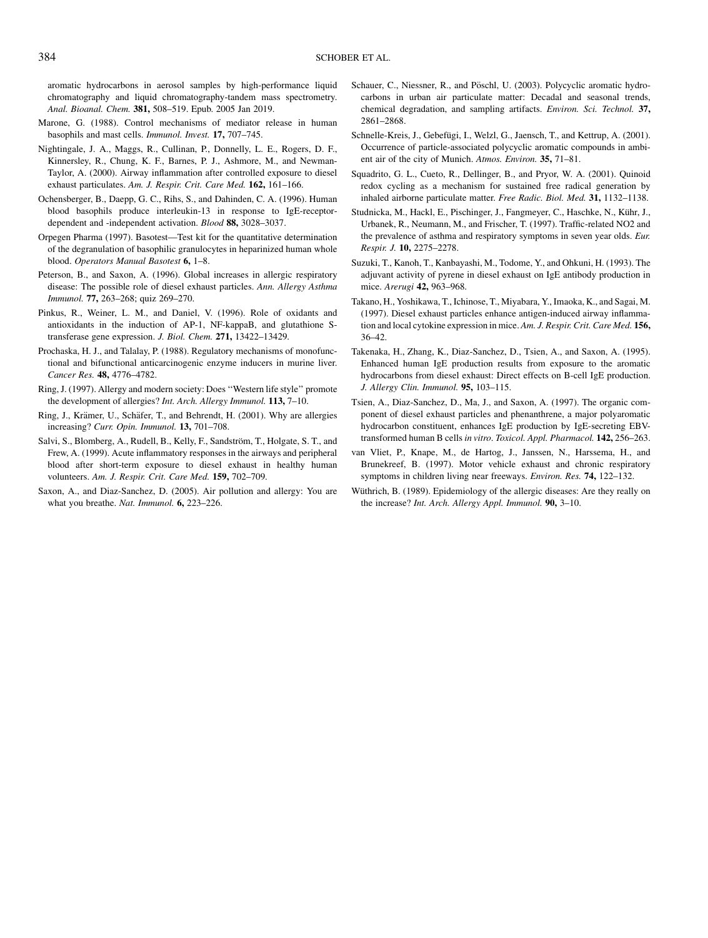aromatic hydrocarbons in aerosol samples by high-performance liquid chromatography and liquid chromatography-tandem mass spectrometry. Anal. Bioanal. Chem. 381, 508-519. Epub. 2005 Jan 2019.

- Marone, G. (1988). Control mechanisms of mediator release in human basophils and mast cells. Immunol. Invest. 17, 707–745.
- Nightingale, J. A., Maggs, R., Cullinan, P., Donnelly, L. E., Rogers, D. F., Kinnersley, R., Chung, K. F., Barnes, P. J., Ashmore, M., and Newman-Taylor, A. (2000). Airway inflammation after controlled exposure to diesel exhaust particulates. Am. J. Respir. Crit. Care Med. 162, 161-166.
- Ochensberger, B., Daepp, G. C., Rihs, S., and Dahinden, C. A. (1996). Human blood basophils produce interleukin-13 in response to IgE-receptordependent and -independent activation. Blood 88, 3028–3037.
- Orpegen Pharma (1997). Basotest—Test kit for the quantitative determination of the degranulation of basophilic granulocytes in heparinized human whole blood. Operators Manual Basotest 6, 1-8.
- Peterson, B., and Saxon, A. (1996). Global increases in allergic respiratory disease: The possible role of diesel exhaust particles. Ann. Allergy Asthma Immunol. 77, 263–268; quiz 269–270.
- Pinkus, R., Weiner, L. M., and Daniel, V. (1996). Role of oxidants and antioxidants in the induction of AP-1, NF-kappaB, and glutathione Stransferase gene expression. J. Biol. Chem. 271, 13422–13429.
- Prochaska, H. J., and Talalay, P. (1988). Regulatory mechanisms of monofunctional and bifunctional anticarcinogenic enzyme inducers in murine liver. Cancer Res. 48, 4776–4782.
- Ring, J. (1997). Allergy and modern society: Does ''Western life style'' promote the development of allergies? Int. Arch. Allergy Immunol. 113, 7-10.
- Ring, J., Krämer, U., Schäfer, T., and Behrendt, H. (2001). Why are allergies increasing? Curr. Opin. Immunol. 13, 701–708.
- Salvi, S., Blomberg, A., Rudell, B., Kelly, F., Sandström, T., Holgate, S. T., and Frew, A. (1999). Acute inflammatory responses in the airways and peripheral blood after short-term exposure to diesel exhaust in healthy human volunteers. Am. J. Respir. Crit. Care Med. 159, 702-709.
- Saxon, A., and Diaz-Sanchez, D. (2005). Air pollution and allergy: You are what you breathe. Nat. Immunol. **6**, 223-226.
- Schauer, C., Niessner, R., and Pöschl, U. (2003). Polycyclic aromatic hydrocarbons in urban air particulate matter: Decadal and seasonal trends, chemical degradation, and sampling artifacts. Environ. Sci. Technol. 37, 2861–2868.
- Schnelle-Kreis, J., Gebefügi, I., Welzl, G., Jaensch, T., and Kettrup, A. (2001). Occurrence of particle-associated polycyclic aromatic compounds in ambient air of the city of Munich. Atmos. Environ. 35, 71–81.
- Squadrito, G. L., Cueto, R., Dellinger, B., and Pryor, W. A. (2001). Quinoid redox cycling as a mechanism for sustained free radical generation by inhaled airborne particulate matter. Free Radic. Biol. Med. 31, 1132–1138.
- Studnicka, M., Hackl, E., Pischinger, J., Fangmeyer, C., Haschke, N., Kühr, J., Urbanek, R., Neumann, M., and Frischer, T. (1997). Traffic-related NO2 and the prevalence of asthma and respiratory symptoms in seven year olds. Eur. Respir. J. 10, 2275–2278.
- Suzuki, T., Kanoh, T., Kanbayashi, M., Todome, Y., and Ohkuni, H. (1993). The adjuvant activity of pyrene in diesel exhaust on IgE antibody production in mice. Arerugi 42, 963–968.
- Takano, H., Yoshikawa, T., Ichinose, T., Miyabara, Y., Imaoka, K., and Sagai, M. (1997). Diesel exhaust particles enhance antigen-induced airway inflammation and local cytokine expression in mice. Am. J. Respir. Crit. Care Med. 156, 36–42.
- Takenaka, H., Zhang, K., Diaz-Sanchez, D., Tsien, A., and Saxon, A. (1995). Enhanced human IgE production results from exposure to the aromatic hydrocarbons from diesel exhaust: Direct effects on B-cell IgE production. J. Allergy Clin. Immunol. 95, 103-115.
- Tsien, A., Diaz-Sanchez, D., Ma, J., and Saxon, A. (1997). The organic component of diesel exhaust particles and phenanthrene, a major polyaromatic hydrocarbon constituent, enhances IgE production by IgE-secreting EBVtransformed human B cells in vitro. Toxicol. Appl. Pharmacol. 142, 256-263.
- van Vliet, P., Knape, M., de Hartog, J., Janssen, N., Harssema, H., and Brunekreef, B. (1997). Motor vehicle exhaust and chronic respiratory symptoms in children living near freeways. Environ. Res. 74, 122-132.
- Wüthrich, B. (1989). Epidemiology of the allergic diseases: Are they really on the increase? Int. Arch. Allergy Appl. Immunol. 90, 3–10.